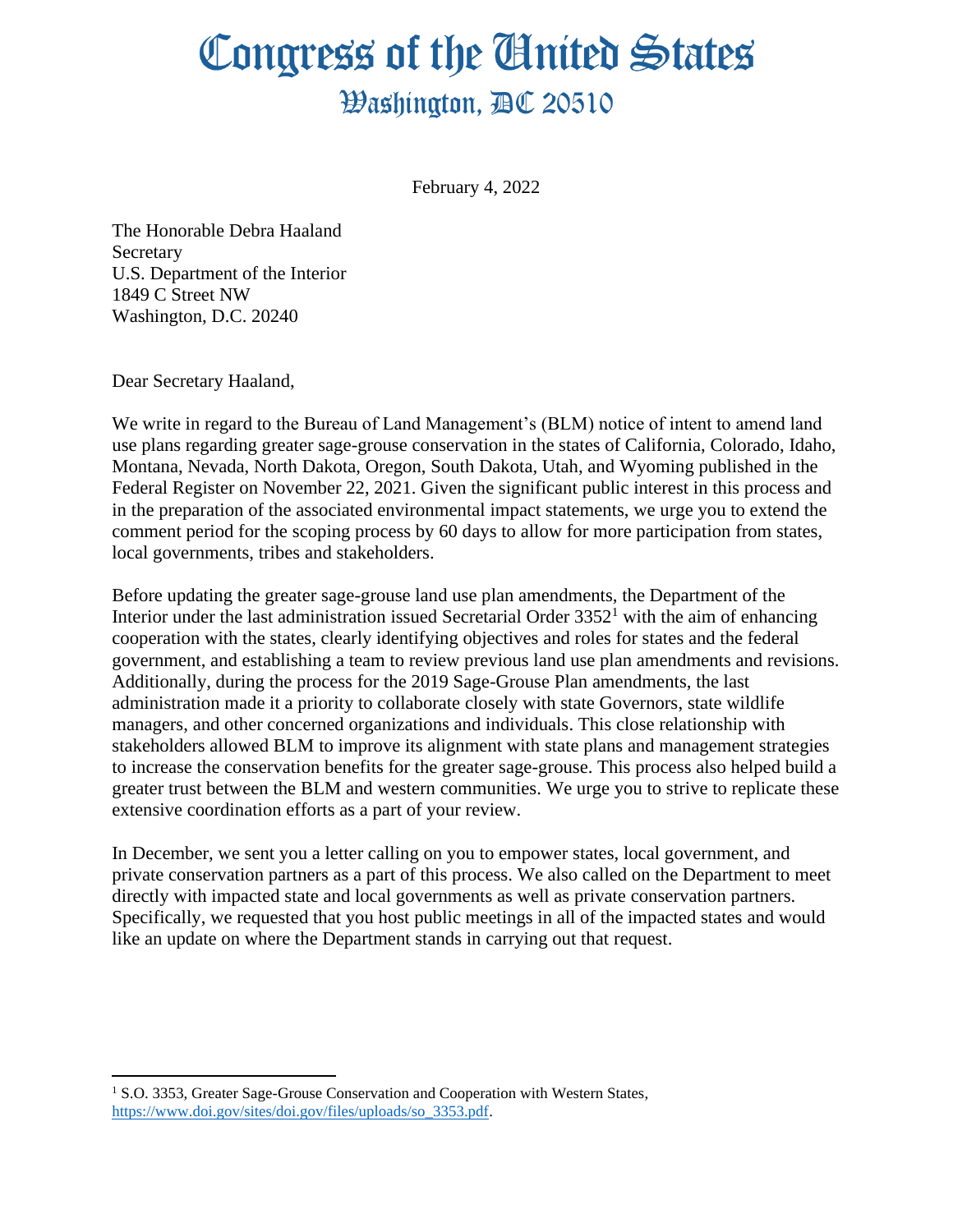## Congress of the United States **Washington, AC 20510**

February 4, 2022

The Honorable Debra Haaland **Secretary** U.S. Department of the Interior 1849 C Street NW Washington, D.C. 20240

Dear Secretary Haaland,

We write in regard to the Bureau of Land Management's (BLM) notice of intent to amend land use plans regarding greater sage-grouse conservation in the states of California, Colorado, Idaho, Montana, Nevada, North Dakota, Oregon, South Dakota, Utah, and Wyoming published in the Federal Register on November 22, 2021. Given the significant public interest in this process and in the preparation of the associated environmental impact statements, we urge you to extend the comment period for the scoping process by 60 days to allow for more participation from states, local governments, tribes and stakeholders.

Before updating the greater sage-grouse land use plan amendments, the Department of the Interior under the last administration issued Secretarial Order  $3352<sup>1</sup>$  with the aim of enhancing cooperation with the states, clearly identifying objectives and roles for states and the federal government, and establishing a team to review previous land use plan amendments and revisions. Additionally, during the process for the 2019 Sage-Grouse Plan amendments, the last administration made it a priority to collaborate closely with state Governors, state wildlife managers, and other concerned organizations and individuals. This close relationship with stakeholders allowed BLM to improve its alignment with state plans and management strategies to increase the conservation benefits for the greater sage-grouse. This process also helped build a greater trust between the BLM and western communities. We urge you to strive to replicate these extensive coordination efforts as a part of your review.

In December, we sent you a letter calling on you to empower states, local government, and private conservation partners as a part of this process. We also called on the Department to meet directly with impacted state and local governments as well as private conservation partners. Specifically, we requested that you host public meetings in all of the impacted states and would like an update on where the Department stands in carrying out that request.

<sup>&</sup>lt;sup>1</sup> S.O. 3353, Greater Sage-Grouse Conservation and Cooperation with Western States, [https://www.doi.gov/sites/doi.gov/files/uploads/so\\_3353.pdf.](https://www.doi.gov/sites/doi.gov/files/uploads/so_3353.pdf)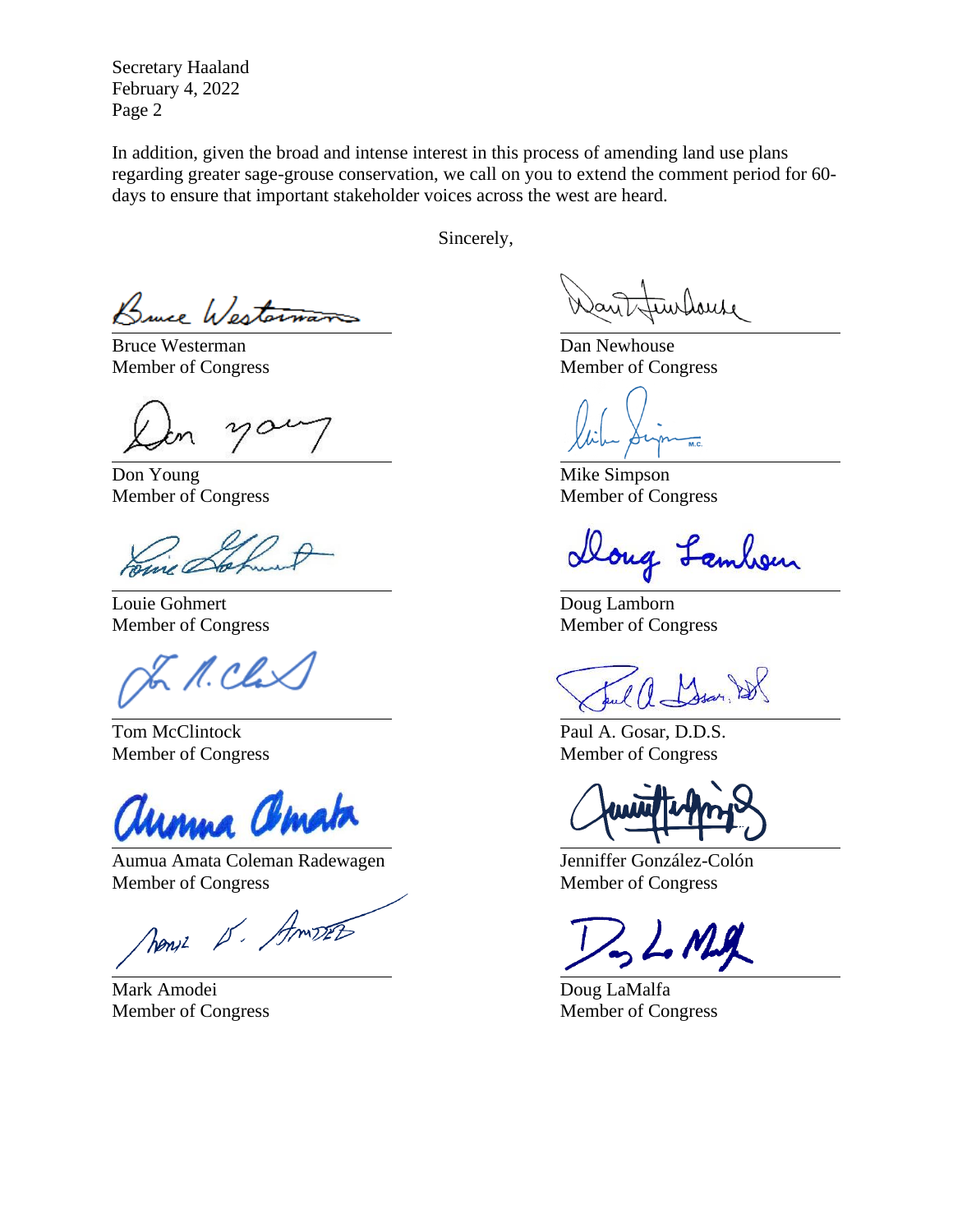Secretary Haaland February 4, 2022 Page 2

In addition, given the broad and intense interest in this process of amending land use plans regarding greater sage-grouse conservation, we call on you to extend the comment period for 60 days to ensure that important stakeholder voices across the west are heard.

Sincerely,

Bruce Westerware

Bruce Westerman Dan Newhouse

10

Don Young Mike Simpson

Louie Gohmert Doug Lamborn

M. Clax

unua amata

Aumua Amata Coleman Radewagen Jenniffer González-Colón Member of Congress Member of Congress

News 15. Amost

Mark Amodei Doug LaMalfa

imbouse

Member of Congress Member of Congress

 $\overline{M.C.}$ 

Member of Congress Member of Congress

cloug Lambon

Member of Congress Member of Congress

Tom McClintock Paul A. Gosar, D.D.S. Member of Congress Member of Congress

Member of Congress Member of Congress